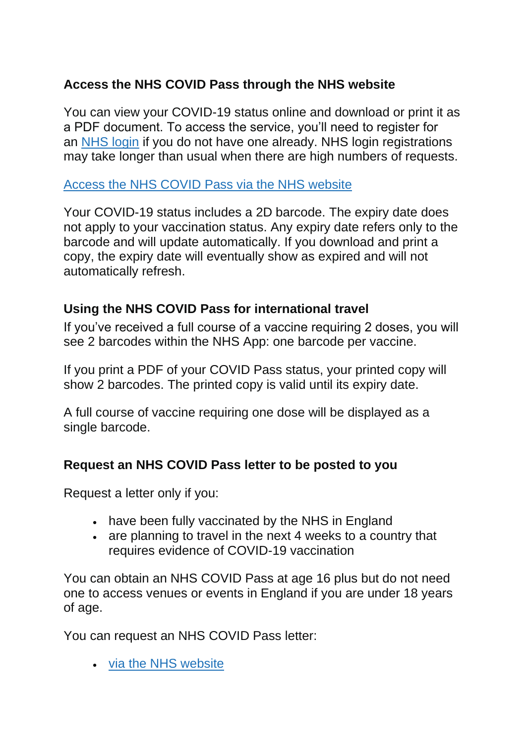# **Access the NHS COVID Pass through the NHS website**

You can view your COVID-19 status online and download or print it as a PDF document. To access the service, you'll need to register for an [NHS login](https://www.nhs.uk/nhs-services/online-services/nhs-log-in/) if you do not have one already. NHS login registrations may take longer than usual when there are high numbers of requests.

#### [Access the NHS COVID Pass via the NHS website](https://www.nhs.uk/conditions/coronavirus-covid-19/covid-pass/)

Your COVID-19 status includes a 2D barcode. The expiry date does not apply to your vaccination status. Any expiry date refers only to the barcode and will update automatically. If you download and print a copy, the expiry date will eventually show as expired and will not automatically refresh.

### **Using the NHS COVID Pass for international travel**

If you've received a full course of a vaccine requiring 2 doses, you will see 2 barcodes within the NHS App: one barcode per vaccine.

If you print a PDF of your COVID Pass status, your printed copy will show 2 barcodes. The printed copy is valid until its expiry date.

A full course of vaccine requiring one dose will be displayed as a single barcode.

#### **Request an NHS COVID Pass letter to be posted to you**

Request a letter only if you:

- have been fully vaccinated by the NHS in England
- are planning to travel in the next 4 weeks to a country that requires evidence of COVID-19 vaccination

You can obtain an NHS COVID Pass at age 16 plus but do not need one to access venues or events in England if you are under 18 years of age.

You can request an NHS COVID Pass letter:

• [via the NHS website](https://www.nhs.uk/conditions/coronavirus-covid-19/coronavirus-vaccination/covid-status-letter/)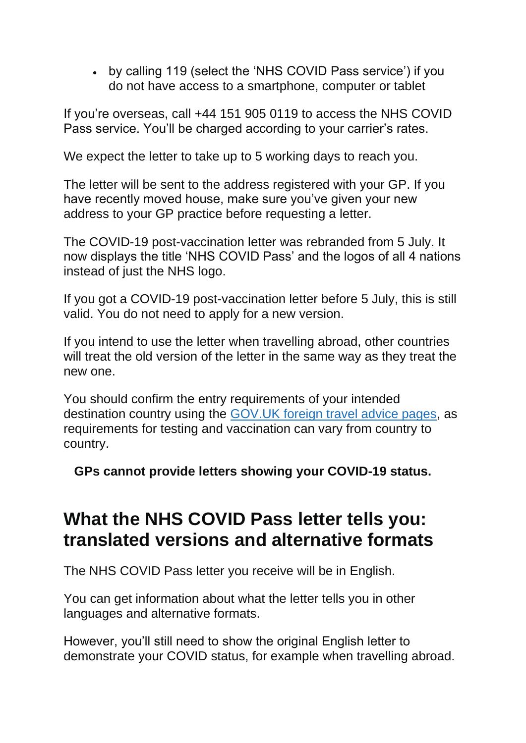• by calling 119 (select the 'NHS COVID Pass service') if you do not have access to a smartphone, computer or tablet

If you're overseas, call +44 151 905 0119 to access the NHS COVID Pass service. You'll be charged according to your carrier's rates.

We expect the letter to take up to 5 working days to reach you.

The letter will be sent to the address registered with your GP. If you have recently moved house, make sure you've given your new address to your GP practice before requesting a letter.

The COVID-19 post-vaccination letter was rebranded from 5 July. It now displays the title 'NHS COVID Pass' and the logos of all 4 nations instead of just the NHS logo.

If you got a COVID-19 post-vaccination letter before 5 July, this is still valid. You do not need to apply for a new version.

If you intend to use the letter when travelling abroad, other countries will treat the old version of the letter in the same way as they treat the new one.

You should confirm the entry requirements of your intended destination country using the [GOV.UK foreign travel advice pages,](https://www.gov.uk/foreign-travel-advice) as requirements for testing and vaccination can vary from country to country.

**GPs cannot provide letters showing your COVID-19 status.**

# **What the NHS COVID Pass letter tells you: translated versions and alternative formats**

The NHS COVID Pass letter you receive will be in English.

You can get information about what the letter tells you in other languages and alternative formats.

However, you'll still need to show the original English letter to demonstrate your COVID status, for example when travelling abroad.